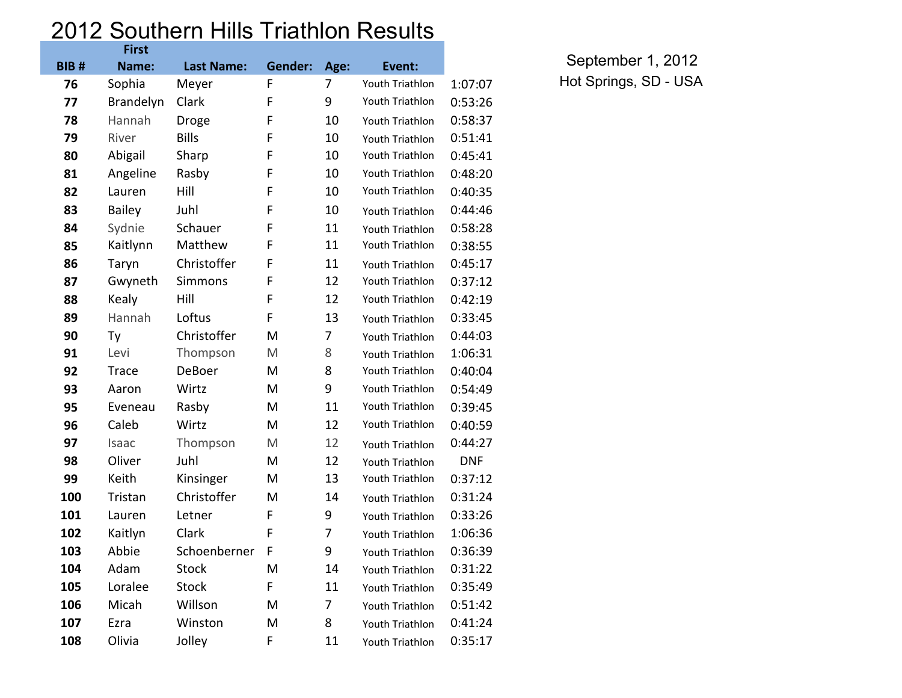## 2012 Southern Hills Triathlon Results

|             | <b>First</b>     |                   |                |      |                        |            |
|-------------|------------------|-------------------|----------------|------|------------------------|------------|
| <b>BIB#</b> | Name:            | <b>Last Name:</b> | <b>Gender:</b> | Age: | Event:                 |            |
| 76          | Sophia           | Meyer             | F              | 7    | Youth Triathlon        | 1:07:07    |
| 77          | <b>Brandelyn</b> | Clark             | F              | 9    | Youth Triathlon        | 0:53:26    |
| 78          | Hannah           | Droge             | F              | 10   | Youth Triathlon        | 0:58:37    |
| 79          | River            | <b>Bills</b>      | F              | 10   | Youth Triathlon        | 0:51:41    |
| 80          | Abigail          | Sharp             | F              | 10   | Youth Triathlon        | 0:45:41    |
| 81          | Angeline         | Rasby             | F              | 10   | Youth Triathlon        | 0:48:20    |
| 82          | Lauren           | Hill              | F              | 10   | Youth Triathlon        | 0:40:35    |
| 83          | <b>Bailey</b>    | Juhl              | F              | 10   | Youth Triathlon        | 0:44:46    |
| 84          | Sydnie           | Schauer           | F              | 11   | Youth Triathlon        | 0:58:28    |
| 85          | Kaitlynn         | Matthew           | F              | 11   | Youth Triathlon        | 0:38:55    |
| 86          | Taryn            | Christoffer       | F              | 11   | Youth Triathlon        | 0:45:17    |
| 87          | Gwyneth          | <b>Simmons</b>    | F              | 12   | Youth Triathlon        | 0:37:12    |
| 88          | Kealy            | Hill              | F              | 12   | Youth Triathlon        | 0:42:19    |
| 89          | Hannah           | Loftus            | F              | 13   | Youth Triathlon        | 0:33:45    |
| 90          | Ty               | Christoffer       | M              | 7    | Youth Triathlon        | 0:44:03    |
| 91          | Levi             | Thompson          | M              | 8    | Youth Triathlon        | 1:06:31    |
| 92          | Trace            | DeBoer            | M              | 8    | Youth Triathlon        | 0:40:04    |
| 93          | Aaron            | Wirtz             | M              | 9    | Youth Triathlon        | 0:54:49    |
| 95          | Eveneau          | Rasby             | M              | 11   | Youth Triathlon        | 0:39:45    |
| 96          | Caleb            | Wirtz             | M              | 12   | Youth Triathlon        | 0:40:59    |
| 97          | Isaac            | Thompson          | M              | 12   | Youth Triathlon        | 0:44:27    |
| 98          | Oliver           | Juhl              | M              | 12   | Youth Triathlon        | <b>DNF</b> |
| 99          | Keith            | Kinsinger         | M              | 13   | Youth Triathlon        | 0:37:12    |
| 100         | Tristan          | Christoffer       | M              | 14   | Youth Triathlon        | 0:31:24    |
| 101         | Lauren           | Letner            | F              | 9    | Youth Triathlon        | 0:33:26    |
| 102         | Kaitlyn          | Clark             | F              | 7    | Youth Triathlon        | 1:06:36    |
| 103         | Abbie            | Schoenberner      | F              | 9    | Youth Triathlon        | 0:36:39    |
| 104         | Adam             | <b>Stock</b>      | M              | 14   | Youth Triathlon        | 0:31:22    |
| 105         | Loralee          | <b>Stock</b>      | F              | 11   | <b>Youth Triathlon</b> | 0:35:49    |
| 106         | Micah            | Willson           | M              | 7    | Youth Triathlon        | 0:51:42    |
| 107         | Ezra             | Winston           | M              | 8    | Youth Triathlon        | 0:41:24    |
| 108         | Olivia           | Jolley            | F              | 11   | Youth Triathlon        | 0:35:17    |

September 1, 2012 Hot Springs, SD - USA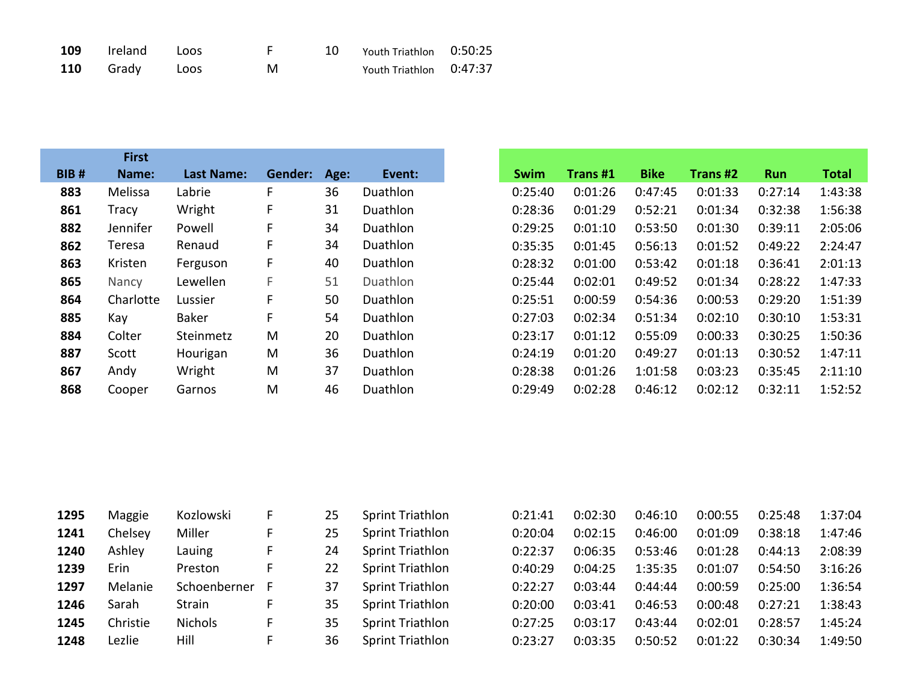| <b>109</b> Ireland Loos |      |   | 10 Youth Triathlon 0:50:25 |  |
|-------------------------|------|---|----------------------------|--|
| 110 Grady               | Loos | M | Youth Triathlon 0:47:37    |  |

|             | <b>First</b> |                   |         |      |          |             |                 |             |          |            |  |
|-------------|--------------|-------------------|---------|------|----------|-------------|-----------------|-------------|----------|------------|--|
| <b>BIB#</b> | Name:        | <b>Last Name:</b> | Gender: | Age: | Event:   | <b>Swim</b> | <b>Trans #1</b> | <b>Bike</b> | Trans #2 | <b>Run</b> |  |
| 883         | Melissa      | Labrie            | F       | 36   | Duathlon | 0:25:40     | 0:01:26         | 0:47:45     | 0:01:33  | 0:27:14    |  |
| 861         | Tracy        | Wright            | F       | 31   | Duathlon | 0:28:36     | 0:01:29         | 0:52:21     | 0:01:34  | 0:32:38    |  |
| 882         | Jennifer     | Powell            | F       | 34   | Duathlon | 0:29:25     | 0:01:10         | 0:53:50     | 0:01:30  | 0:39:11    |  |
| 862         | Teresa       | Renaud            | F       | 34   | Duathlon | 0:35:35     | 0:01:45         | 0:56:13     | 0:01:52  | 0:49:22    |  |
| 863         | Kristen      | Ferguson          | F       | 40   | Duathlon | 0:28:32     | 0:01:00         | 0:53:42     | 0:01:18  | 0:36:41    |  |
| 865         | Nancy        | Lewellen          | F       | 51   | Duathlon | 0:25:44     | 0:02:01         | 0:49:52     | 0:01:34  | 0:28:22    |  |
| 864         | Charlotte    | Lussier           | F       | 50   | Duathlon | 0:25:51     | 0:00:59         | 0:54:36     | 0:00:53  | 0:29:20    |  |
| 885         | Kay          | Baker             | F       | 54   | Duathlon | 0:27:03     | 0:02:34         | 0:51:34     | 0:02:10  | 0:30:10    |  |
| 884         | Colter       | Steinmetz         | M       | 20   | Duathlon | 0:23:17     | 0:01:12         | 0:55:09     | 0:00:33  | 0:30:25    |  |
| 887         | Scott        | Hourigan          | M       | 36   | Duathlon | 0:24:19     | 0:01:20         | 0:49:27     | 0:01:13  | 0:30:52    |  |
| 867         | Andy         | Wright            | M       | 37   | Duathlon | 0:28:38     | 0:01:26         | 1:01:58     | 0:03:23  | 0:35:45    |  |
| 868         | Cooper       | Garnos            | M       | 46   | Duathlon | 0:29:49     | 0:02:28         | 0:46:12     | 0:02:12  | 0:32:11    |  |

| 1295 | Maggie   | Kozlowski      |   | 25 | Sprint Triathlon | 0:21:41 | 0:02:30 | 0:46:10 | 0:00:55 | 0:25:48 | 1:37:04 |
|------|----------|----------------|---|----|------------------|---------|---------|---------|---------|---------|---------|
| 1241 | Chelsey  | Miller         |   | 25 | Sprint Triathlon | 0:20:04 | 0:02:15 | 0:46:00 | 0:01:09 | 0:38:18 | 1:47:46 |
| 1240 | Ashley   | Lauing         |   | 24 | Sprint Triathlon | 0:22:37 | 0:06:35 | 0:53:46 | 0:01:28 | 0:44:13 | 2:08:39 |
| 1239 | Erin     | Preston        |   | 22 | Sprint Triathlon | 0:40:29 | 0:04:25 | 1:35:35 | 0:01:07 | 0:54:50 | 3:16:26 |
| 1297 | Melanie  | Schoenberner   |   | 37 | Sprint Triathlon | 0:22:27 | 0:03:44 | 0:44:44 | 0:00:59 | 0:25:00 | 1:36:54 |
| 1246 | Sarah    | Strain         |   | 35 | Sprint Triathlon | 0:20:00 | 0:03:41 | 0:46:53 | 0:00:48 | 0:27:21 | 1:38:43 |
| 1245 | Christie | <b>Nichols</b> | F | 35 | Sprint Triathlon | 0:27:25 | 0:03:17 | 0:43:44 | 0:02:01 | 0:28:57 | 1:45:24 |
| 1248 | Lezlie   | Hill           |   | 36 | Sprint Triathlon | 0:23:27 | 0:03:35 | 0:50:52 | 0:01:22 | 0:30:34 | 1:49:50 |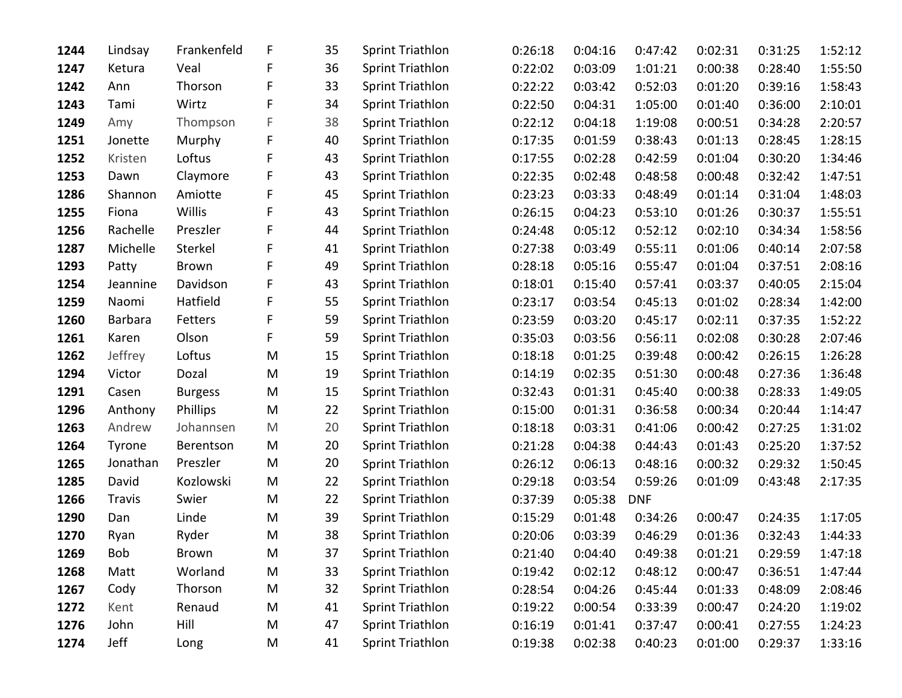| 1244 | Lindsay        | Frankenfeld    | F | 35 | <b>Sprint Triathlon</b> | 0:26:18 | 0:04:16 | 0:47:42    | 0:02:31 | 0:31:25 | 1:52:12 |
|------|----------------|----------------|---|----|-------------------------|---------|---------|------------|---------|---------|---------|
| 1247 | Ketura         | Veal           | F | 36 | <b>Sprint Triathlon</b> | 0:22:02 | 0:03:09 | 1:01:21    | 0:00:38 | 0:28:40 | 1:55:50 |
| 1242 | Ann            | Thorson        | F | 33 | <b>Sprint Triathlon</b> | 0:22:22 | 0:03:42 | 0:52:03    | 0:01:20 | 0:39:16 | 1:58:43 |
| 1243 | Tami           | Wirtz          | F | 34 | <b>Sprint Triathlon</b> | 0:22:50 | 0:04:31 | 1:05:00    | 0:01:40 | 0:36:00 | 2:10:01 |
| 1249 | Amy            | Thompson       | F | 38 | <b>Sprint Triathlon</b> | 0:22:12 | 0:04:18 | 1:19:08    | 0:00:51 | 0:34:28 | 2:20:57 |
| 1251 | Jonette        | Murphy         | F | 40 | <b>Sprint Triathlon</b> | 0:17:35 | 0:01:59 | 0:38:43    | 0:01:13 | 0:28:45 | 1:28:15 |
| 1252 | Kristen        | Loftus         | F | 43 | <b>Sprint Triathlon</b> | 0:17:55 | 0:02:28 | 0:42:59    | 0:01:04 | 0:30:20 | 1:34:46 |
| 1253 | Dawn           | Claymore       | F | 43 | <b>Sprint Triathlon</b> | 0:22:35 | 0:02:48 | 0:48:58    | 0:00:48 | 0:32:42 | 1:47:51 |
| 1286 | Shannon        | Amiotte        | F | 45 | <b>Sprint Triathlon</b> | 0:23:23 | 0:03:33 | 0:48:49    | 0:01:14 | 0:31:04 | 1:48:03 |
| 1255 | Fiona          | Willis         | F | 43 | <b>Sprint Triathlon</b> | 0:26:15 | 0:04:23 | 0:53:10    | 0:01:26 | 0:30:37 | 1:55:51 |
| 1256 | Rachelle       | Preszler       | F | 44 | <b>Sprint Triathlon</b> | 0:24:48 | 0:05:12 | 0:52:12    | 0:02:10 | 0:34:34 | 1:58:56 |
| 1287 | Michelle       | Sterkel        | F | 41 | <b>Sprint Triathlon</b> | 0:27:38 | 0:03:49 | 0:55:11    | 0:01:06 | 0:40:14 | 2:07:58 |
| 1293 | Patty          | <b>Brown</b>   | F | 49 | <b>Sprint Triathlon</b> | 0:28:18 | 0:05:16 | 0:55:47    | 0:01:04 | 0:37:51 | 2:08:16 |
| 1254 | Jeannine       | Davidson       | F | 43 | <b>Sprint Triathlon</b> | 0:18:01 | 0:15:40 | 0:57:41    | 0:03:37 | 0:40:05 | 2:15:04 |
| 1259 | Naomi          | Hatfield       | F | 55 | <b>Sprint Triathlon</b> | 0:23:17 | 0:03:54 | 0:45:13    | 0:01:02 | 0:28:34 | 1:42:00 |
| 1260 | <b>Barbara</b> | Fetters        | F | 59 | <b>Sprint Triathlon</b> | 0:23:59 | 0:03:20 | 0:45:17    | 0:02:11 | 0:37:35 | 1:52:22 |
| 1261 | Karen          | Olson          | F | 59 | <b>Sprint Triathlon</b> | 0:35:03 | 0:03:56 | 0:56:11    | 0:02:08 | 0:30:28 | 2:07:46 |
| 1262 | Jeffrey        | Loftus         | M | 15 | <b>Sprint Triathlon</b> | 0:18:18 | 0:01:25 | 0:39:48    | 0:00:42 | 0:26:15 | 1:26:28 |
| 1294 | Victor         | Dozal          | M | 19 | <b>Sprint Triathlon</b> | 0:14:19 | 0:02:35 | 0:51:30    | 0:00:48 | 0:27:36 | 1:36:48 |
| 1291 | Casen          | <b>Burgess</b> | M | 15 | <b>Sprint Triathlon</b> | 0:32:43 | 0:01:31 | 0:45:40    | 0:00:38 | 0:28:33 | 1:49:05 |
| 1296 | Anthony        | Phillips       | M | 22 | <b>Sprint Triathlon</b> | 0:15:00 | 0:01:31 | 0:36:58    | 0:00:34 | 0:20:44 | 1:14:47 |
| 1263 | Andrew         | Johannsen      | M | 20 | <b>Sprint Triathlon</b> | 0:18:18 | 0:03:31 | 0:41:06    | 0:00:42 | 0:27:25 | 1:31:02 |
| 1264 | Tyrone         | Berentson      | M | 20 | <b>Sprint Triathlon</b> | 0:21:28 | 0:04:38 | 0:44:43    | 0:01:43 | 0:25:20 | 1:37:52 |
| 1265 | Jonathan       | Preszler       | M | 20 | <b>Sprint Triathlon</b> | 0:26:12 | 0:06:13 | 0:48:16    | 0:00:32 | 0:29:32 | 1:50:45 |
| 1285 | David          | Kozlowski      | M | 22 | <b>Sprint Triathlon</b> | 0:29:18 | 0:03:54 | 0:59:26    | 0:01:09 | 0:43:48 | 2:17:35 |
| 1266 | <b>Travis</b>  | Swier          | M | 22 | <b>Sprint Triathlon</b> | 0:37:39 | 0:05:38 | <b>DNF</b> |         |         |         |
| 1290 | Dan            | Linde          | M | 39 | <b>Sprint Triathlon</b> | 0:15:29 | 0:01:48 | 0:34:26    | 0:00:47 | 0:24:35 | 1:17:05 |
| 1270 | Ryan           | Ryder          | M | 38 | <b>Sprint Triathlon</b> | 0:20:06 | 0:03:39 | 0:46:29    | 0:01:36 | 0:32:43 | 1:44:33 |
| 1269 | Bob            | Brown          | M | 37 | Sprint Triathlon        | 0:21:40 | 0:04:40 | 0:49:38    | 0:01:21 | 0:29:59 | 1:47:18 |
| 1268 | Matt           | Worland        | M | 33 | <b>Sprint Triathlon</b> | 0:19:42 | 0:02:12 | 0:48:12    | 0:00:47 | 0:36:51 | 1:47:44 |
| 1267 | Cody           | Thorson        | M | 32 | <b>Sprint Triathlon</b> | 0:28:54 | 0:04:26 | 0:45:44    | 0:01:33 | 0:48:09 | 2:08:46 |
| 1272 | Kent           | Renaud         | M | 41 | <b>Sprint Triathlon</b> | 0:19:22 | 0:00:54 | 0:33:39    | 0:00:47 | 0:24:20 | 1:19:02 |
| 1276 | John           | Hill           | M | 47 | <b>Sprint Triathlon</b> | 0:16:19 | 0:01:41 | 0:37:47    | 0:00:41 | 0:27:55 | 1:24:23 |
| 1274 | Jeff           | Long           | M | 41 | <b>Sprint Triathlon</b> | 0:19:38 | 0:02:38 | 0:40:23    | 0:01:00 | 0:29:37 | 1:33:16 |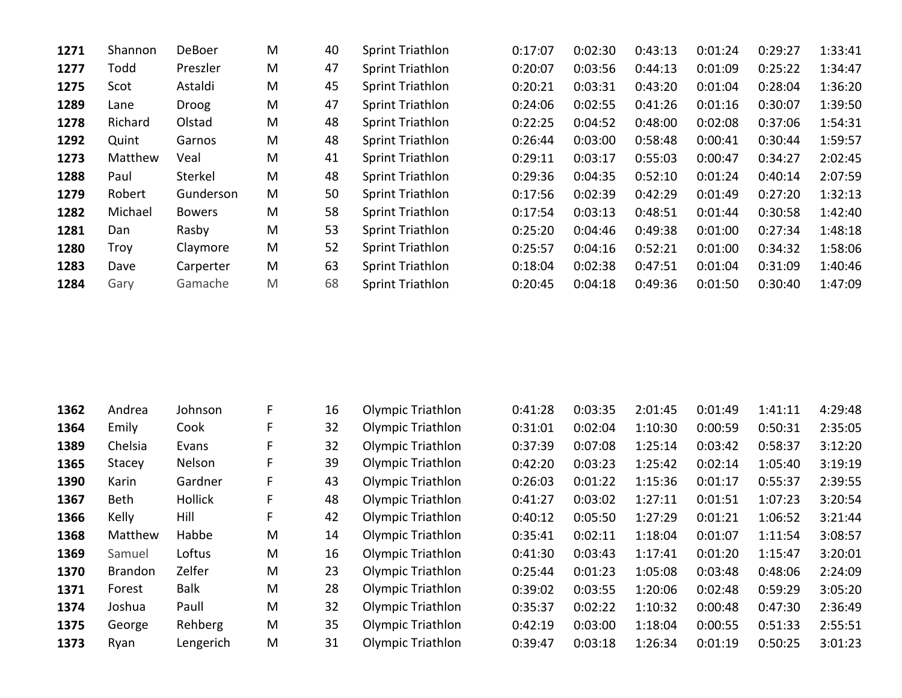| 1271 | Shannon | DeBoer        | M | 40 | <b>Sprint Triathlon</b> | 0:17:07 | 0:02:30 | 0:43:13 | 0:01:24 | 0:29:27 | 1:33:41 |
|------|---------|---------------|---|----|-------------------------|---------|---------|---------|---------|---------|---------|
| 1277 | Todd    | Preszler      | M | 47 | <b>Sprint Triathlon</b> | 0:20:07 | 0:03:56 | 0:44:13 | 0:01:09 | 0:25:22 | 1:34:47 |
| 1275 | Scot    | Astaldi       | M | 45 | <b>Sprint Triathlon</b> | 0:20:21 | 0:03:31 | 0:43:20 | 0:01:04 | 0:28:04 | 1:36:20 |
| 1289 | Lane    | <b>Droog</b>  | M | 47 | <b>Sprint Triathlon</b> | 0:24:06 | 0:02:55 | 0:41:26 | 0:01:16 | 0:30:07 | 1:39:50 |
| 1278 | Richard | Olstad        | M | 48 | <b>Sprint Triathlon</b> | 0:22:25 | 0:04:52 | 0:48:00 | 0:02:08 | 0:37:06 | 1:54:31 |
| 1292 | Quint   | Garnos        | M | 48 | <b>Sprint Triathlon</b> | 0:26:44 | 0:03:00 | 0:58:48 | 0:00:41 | 0:30:44 | 1:59:57 |
| 1273 | Matthew | Veal          | M | 41 | Sprint Triathlon        | 0:29:11 | 0:03:17 | 0:55:03 | 0:00:47 | 0:34:27 | 2:02:45 |
| 1288 | Paul    | Sterkel       | M | 48 | <b>Sprint Triathlon</b> | 0:29:36 | 0:04:35 | 0:52:10 | 0:01:24 | 0:40:14 | 2:07:59 |
| 1279 | Robert  | Gunderson     | M | 50 | <b>Sprint Triathlon</b> | 0:17:56 | 0:02:39 | 0:42:29 | 0:01:49 | 0:27:20 | 1:32:13 |
| 1282 | Michael | <b>Bowers</b> | M | 58 | <b>Sprint Triathlon</b> | 0:17:54 | 0:03:13 | 0:48:51 | 0:01:44 | 0:30:58 | 1:42:40 |
| 1281 | Dan     | Rasby         | M | 53 | <b>Sprint Triathlon</b> | 0:25:20 | 0:04:46 | 0:49:38 | 0:01:00 | 0:27:34 | 1:48:18 |
| 1280 | Troy    | Claymore      | M | 52 | Sprint Triathlon        | 0:25:57 | 0:04:16 | 0:52:21 | 0:01:00 | 0:34:32 | 1:58:06 |
| 1283 | Dave    | Carperter     | M | 63 | <b>Sprint Triathlon</b> | 0:18:04 | 0:02:38 | 0:47:51 | 0:01:04 | 0:31:09 | 1:40:46 |
| 1284 | Gary    | Gamache       | M | 68 | <b>Sprint Triathlon</b> | 0:20:45 | 0:04:18 | 0:49:36 | 0:01:50 | 0:30:40 | 1:47:09 |
|      |         |               |   |    |                         |         |         |         |         |         |         |

| 1362 | Andrea         | Johnson     | F. | 16 | <b>Olympic Triathlon</b> | 0:41:28 | 0:03:35 | 2:01:45 | 0:01:49 | 1:41:11 | 4:29:48 |
|------|----------------|-------------|----|----|--------------------------|---------|---------|---------|---------|---------|---------|
| 1364 | Emily          | Cook        |    | 32 | <b>Olympic Triathlon</b> | 0:31:01 | 0:02:04 | 1:10:30 | 0:00:59 | 0:50:31 | 2:35:05 |
| 1389 | Chelsia        | Evans       | F. | 32 | <b>Olympic Triathlon</b> | 0:37:39 | 0:07:08 | 1:25:14 | 0:03:42 | 0:58:37 | 3:12:20 |
| 1365 | Stacey         | Nelson      | F. | 39 | <b>Olympic Triathlon</b> | 0:42:20 | 0:03:23 | 1:25:42 | 0:02:14 | 1:05:40 | 3:19:19 |
| 1390 | Karin          | Gardner     | F. | 43 | <b>Olympic Triathlon</b> | 0:26:03 | 0:01:22 | 1:15:36 | 0:01:17 | 0:55:37 | 2:39:55 |
| 1367 | <b>Beth</b>    | Hollick     | F. | 48 | <b>Olympic Triathlon</b> | 0:41:27 | 0:03:02 | 1:27:11 | 0:01:51 | 1:07:23 | 3:20:54 |
| 1366 | Kelly          | Hill        | F. | 42 | <b>Olympic Triathlon</b> | 0:40:12 | 0:05:50 | 1:27:29 | 0:01:21 | 1:06:52 | 3:21:44 |
| 1368 | Matthew        | Habbe       | M  | 14 | <b>Olympic Triathlon</b> | 0:35:41 | 0:02:11 | 1:18:04 | 0:01:07 | 1:11:54 | 3:08:57 |
| 1369 | Samuel         | Loftus      | M  | 16 | <b>Olympic Triathlon</b> | 0:41:30 | 0:03:43 | 1:17:41 | 0:01:20 | 1:15:47 | 3:20:01 |
| 1370 | <b>Brandon</b> | Zelfer      | M  | 23 | <b>Olympic Triathlon</b> | 0:25:44 | 0:01:23 | 1:05:08 | 0:03:48 | 0:48:06 | 2:24:09 |
| 1371 | Forest         | <b>Balk</b> | M  | 28 | <b>Olympic Triathlon</b> | 0:39:02 | 0:03:55 | 1:20:06 | 0:02:48 | 0:59:29 | 3:05:20 |
| 1374 | Joshua         | Paull       | M  | 32 | <b>Olympic Triathlon</b> | 0:35:37 | 0:02:22 | 1:10:32 | 0:00:48 | 0:47:30 | 2:36:49 |
| 1375 | George         | Rehberg     | M  | 35 | <b>Olympic Triathlon</b> | 0:42:19 | 0:03:00 | 1:18:04 | 0:00:55 | 0:51:33 | 2:55:51 |
| 1373 | Ryan           | Lengerich   | M  | 31 | <b>Olympic Triathlon</b> | 0:39:47 | 0:03:18 | 1:26:34 | 0:01:19 | 0:50:25 | 3:01:23 |